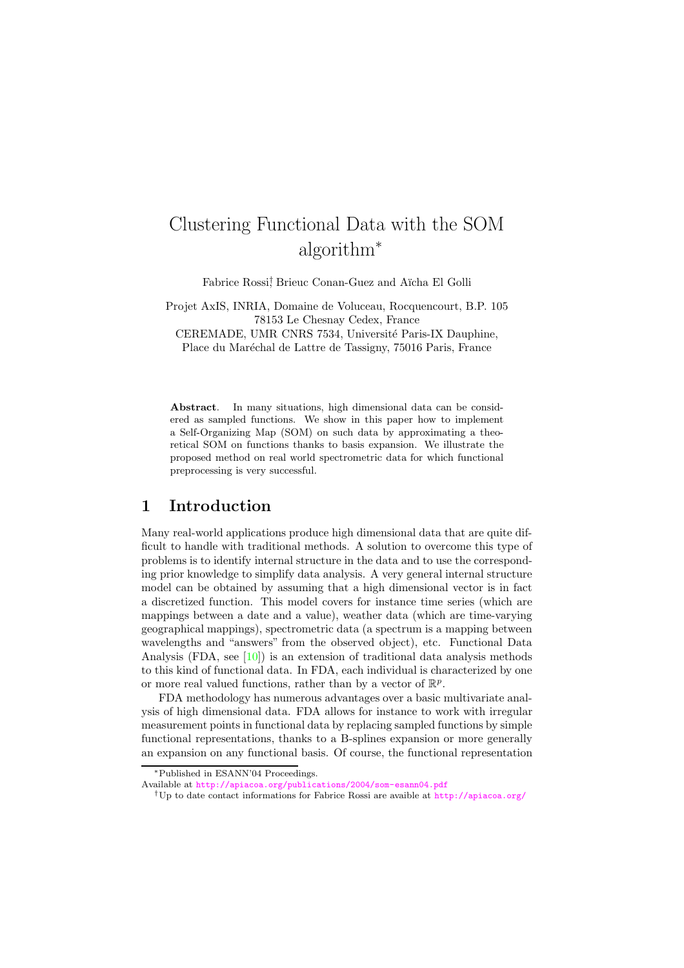# Clustering Functional Data with the SOM algorithm<sup>∗</sup>

Fabrice Rossi<sup>†</sup>, Brieuc Conan-Guez and Aïcha El Golli

Projet AxIS, INRIA, Domaine de Voluceau, Rocquencourt, B.P. 105 78153 Le Chesnay Cedex, France

CEREMADE, UMR CNRS 7534, Université Paris-IX Dauphine, Place du Maréchal de Lattre de Tassigny, 75016 Paris, France

Abstract. In many situations, high dimensional data can be considered as sampled functions. We show in this paper how to implement a Self-Organizing Map (SOM) on such data by approximating a theoretical SOM on functions thanks to basis expansion. We illustrate the proposed method on real world spectrometric data for which functional preprocessing is very successful.

### 1 Introduction

Many real-world applications produce high dimensional data that are quite difficult to handle with traditional methods. A solution to overcome this type of problems is to identify internal structure in the data and to use the corresponding prior knowledge to simplify data analysis. A very general internal structure model can be obtained by assuming that a high dimensional vector is in fact a discretized function. This model covers for instance time series (which are mappings between a date and a value), weather data (which are time-varying geographical mappings), spectrometric data (a spectrum is a mapping between wavelengths and "answers" from the observed object), etc. Functional Data Analysis (FDA, see  $[10]$ ) is an extension of traditional data analysis methods to this kind of functional data. In FDA, each individual is characterized by one or more real valued functions, rather than by a vector of  $\mathbb{R}^p$ .

FDA methodology has numerous advantages over a basic multivariate analysis of high dimensional data. FDA allows for instance to work with irregular measurement points in functional data by replacing sampled functions by simple functional representations, thanks to a B-splines expansion or more generally an expansion on any functional basis. Of course, the functional representation

<sup>∗</sup>Published in ESANN'04 Proceedings.

Available at <http://apiacoa.org/publications/2004/som-esann04.pdf>

<sup>†</sup>Up to date contact informations for Fabrice Rossi are avaible at <http://apiacoa.org/>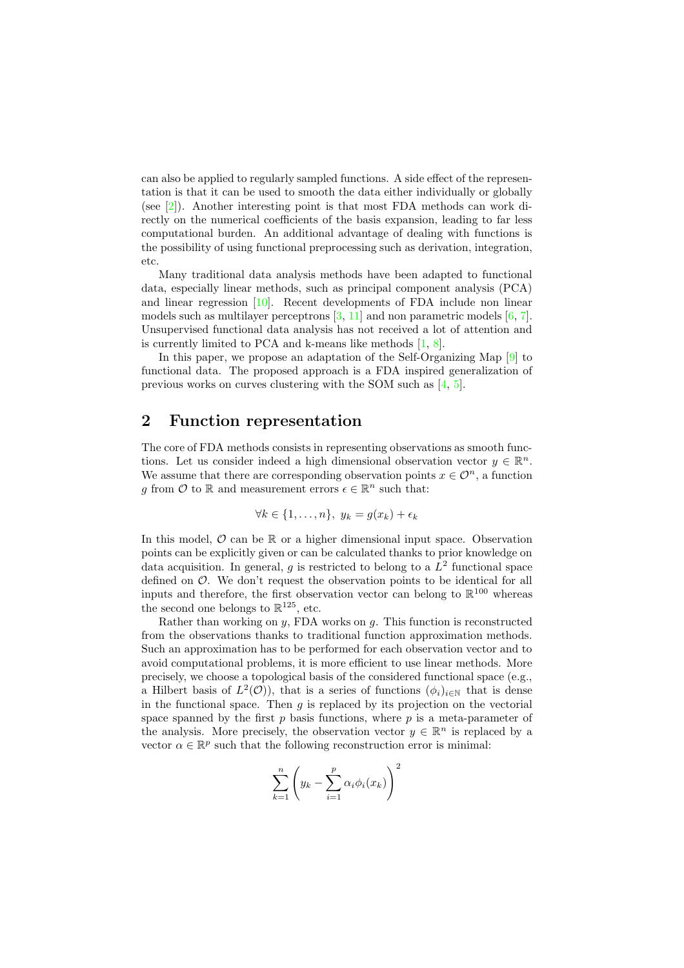can also be applied to regularly sampled functions. A side effect of the representation is that it can be used to smooth the data either individually or globally (see [\[2\]](#page-7-0)). Another interesting point is that most FDA methods can work directly on the numerical coefficients of the basis expansion, leading to far less computational burden. An additional advantage of dealing with functions is the possibility of using functional preprocessing such as derivation, integration, etc.

Many traditional data analysis methods have been adapted to functional data, especially linear methods, such as principal component analysis (PCA) and linear regression  $[10]$ . Recent developments of FDA include non linear models such as multilayer perceptrons  $[3, 11]$  $[3, 11]$  $[3, 11]$  and non parametric models  $[6, 7]$  $[6, 7]$  $[6, 7]$ . Unsupervised functional data analysis has not received a lot of attention and is currently limited to PCA and k-means like methods [\[1,](#page-7-2) [8\]](#page-8-4).

In this paper, we propose an adaptation of the Self-Organizing Map [\[9\]](#page-8-5) to functional data. The proposed approach is a FDA inspired generalization of previous works on curves clustering with the SOM such as [\[4,](#page-8-6) [5\]](#page-8-7).

## 2 Function representation

The core of FDA methods consists in representing observations as smooth functions. Let us consider indeed a high dimensional observation vector  $y \in \mathbb{R}^n$ . We assume that there are corresponding observation points  $x \in \mathcal{O}^n$ , a function g from  $\mathcal{O}$  to  $\mathbb R$  and measurement errors  $\epsilon \in \mathbb{R}^n$  such that:

$$
\forall k \in \{1, \ldots, n\}, \ y_k = g(x_k) + \epsilon_k
$$

In this model,  $\mathcal O$  can be  $\mathbb R$  or a higher dimensional input space. Observation points can be explicitly given or can be calculated thanks to prior knowledge on data acquisition. In general, g is restricted to belong to a  $L^2$  functional space defined on O. We don't request the observation points to be identical for all inputs and therefore, the first observation vector can belong to  $\mathbb{R}^{100}$  whereas the second one belongs to  $\mathbb{R}^{125}$ , etc.

Rather than working on  $y$ , FDA works on  $g$ . This function is reconstructed from the observations thanks to traditional function approximation methods. Such an approximation has to be performed for each observation vector and to avoid computational problems, it is more efficient to use linear methods. More precisely, we choose a topological basis of the considered functional space (e.g., a Hilbert basis of  $L^2(\mathcal{O})$ , that is a series of functions  $(\phi_i)_{i\in\mathbb{N}}$  that is dense in the functional space. Then  $q$  is replaced by its projection on the vectorial space spanned by the first  $p$  basis functions, where  $p$  is a meta-parameter of the analysis. More precisely, the observation vector  $y \in \mathbb{R}^n$  is replaced by a vector  $\alpha \in \mathbb{R}^p$  such that the following reconstruction error is minimal:

$$
\sum_{k=1}^{n} \left( y_k - \sum_{i=1}^{p} \alpha_i \phi_i(x_k) \right)^2
$$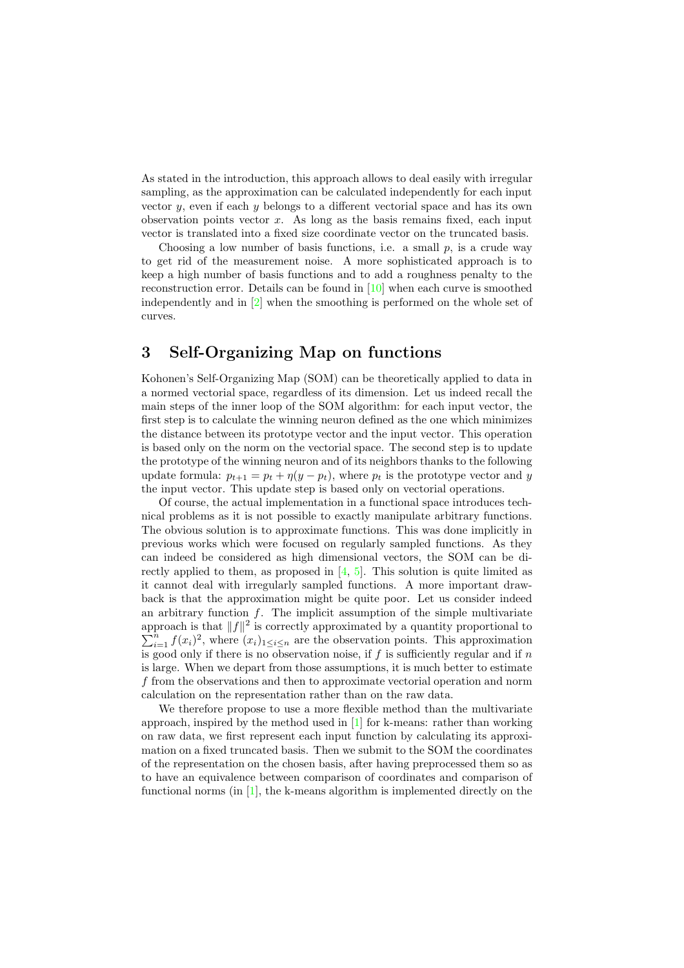As stated in the introduction, this approach allows to deal easily with irregular sampling, as the approximation can be calculated independently for each input vector  $y$ , even if each  $y$  belongs to a different vectorial space and has its own observation points vector  $x$ . As long as the basis remains fixed, each input vector is translated into a fixed size coordinate vector on the truncated basis.

Choosing a low number of basis functions, i.e. a small  $p$ , is a crude way to get rid of the measurement noise. A more sophisticated approach is to keep a high number of basis functions and to add a roughness penalty to the reconstruction error. Details can be found in [\[10\]](#page-8-0) when each curve is smoothed independently and in [\[2\]](#page-7-0) when the smoothing is performed on the whole set of curves.

## 3 Self-Organizing Map on functions

Kohonen's Self-Organizing Map (SOM) can be theoretically applied to data in a normed vectorial space, regardless of its dimension. Let us indeed recall the main steps of the inner loop of the SOM algorithm: for each input vector, the first step is to calculate the winning neuron defined as the one which minimizes the distance between its prototype vector and the input vector. This operation is based only on the norm on the vectorial space. The second step is to update the prototype of the winning neuron and of its neighbors thanks to the following update formula:  $p_{t+1} = p_t + \eta(y - p_t)$ , where  $p_t$  is the prototype vector and y the input vector. This update step is based only on vectorial operations.

Of course, the actual implementation in a functional space introduces technical problems as it is not possible to exactly manipulate arbitrary functions. The obvious solution is to approximate functions. This was done implicitly in previous works which were focused on regularly sampled functions. As they can indeed be considered as high dimensional vectors, the SOM can be directly applied to them, as proposed in  $[4, 5]$  $[4, 5]$  $[4, 5]$ . This solution is quite limited as it cannot deal with irregularly sampled functions. A more important drawback is that the approximation might be quite poor. Let us consider indeed an arbitrary function  $f$ . The implicit assumption of the simple multivariate approach is that  $||f||^2$  is correctly approximated by a quantity proportional to  $\sum_{i=1}^{n} f(x_i)^2$ , where  $(x_i)_{1 \leq i \leq n}$  are the observation points. This approximation is good only if there is no observation noise, if  $f$  is sufficiently regular and if  $n$ is large. When we depart from those assumptions, it is much better to estimate f from the observations and then to approximate vectorial operation and norm calculation on the representation rather than on the raw data.

We therefore propose to use a more flexible method than the multivariate approach, inspired by the method used in [\[1\]](#page-7-2) for k-means: rather than working on raw data, we first represent each input function by calculating its approximation on a fixed truncated basis. Then we submit to the SOM the coordinates of the representation on the chosen basis, after having preprocessed them so as to have an equivalence between comparison of coordinates and comparison of functional norms (in [\[1\]](#page-7-2), the k-means algorithm is implemented directly on the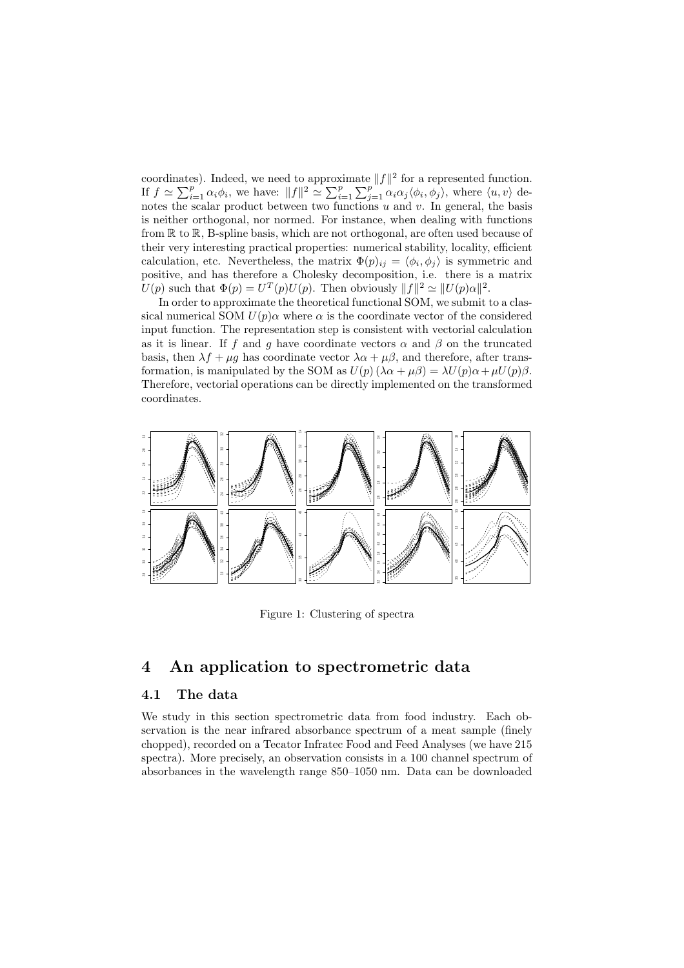coordinates). Indeed, we need to approximate  $||f||^2$  for a represented function. If  $f \simeq \sum_{i=1}^p \alpha_i \phi_i$ , we have:  $||f||^2 \simeq \sum_{i=1}^p \sum_{j=1}^p \alpha_i \alpha_j \langle \phi_i, \phi_j \rangle$ , where  $\langle u, v \rangle$  denotes the scalar product between two functions  $u$  and  $v$ . In general, the basis is neither orthogonal, nor normed. For instance, when dealing with functions from R to R, B-spline basis, which are not orthogonal, are often used because of their very interesting practical properties: numerical stability, locality, efficient calculation, etc. Nevertheless, the matrix  $\Phi(p)_{ij} = \langle \phi_i, \phi_j \rangle$  is symmetric and positive, and has therefore a Cholesky decomposition, i.e. there is a matrix  $U(p)$  such that  $\Phi(p) = U^T(p)U(p)$ . Then obviously  $||f||^2 \simeq ||U(p)\alpha||^2$ .

In order to approximate the theoretical functional SOM, we submit to a classical numerical SOM  $U(p)$ α where α is the coordinate vector of the considered input function. The representation step is consistent with vectorial calculation as it is linear. If f and g have coordinate vectors  $\alpha$  and  $\beta$  on the truncated basis, then  $\lambda f + \mu g$  has coordinate vector  $\lambda \alpha + \mu \beta$ , and therefore, after transformation, is manipulated by the SOM as  $U(p)(\lambda \alpha + \mu \beta) = \lambda U(p) \alpha + \mu U(p) \beta$ . Therefore, vectorial operations can be directly implemented on the transformed coordinates.



<span id="page-3-0"></span>Figure 1: Clustering of spectra

#### 4 An application to spectrometric data

#### 4.1 The data

We study in this section spectrometric data from food industry. Each observation is the near infrared absorbance spectrum of a meat sample (finely chopped), recorded on a Tecator Infratec Food and Feed Analyses (we have 215 spectra). More precisely, an observation consists in a 100 channel spectrum of absorbances in the wavelength range 850–1050 nm. Data can be downloaded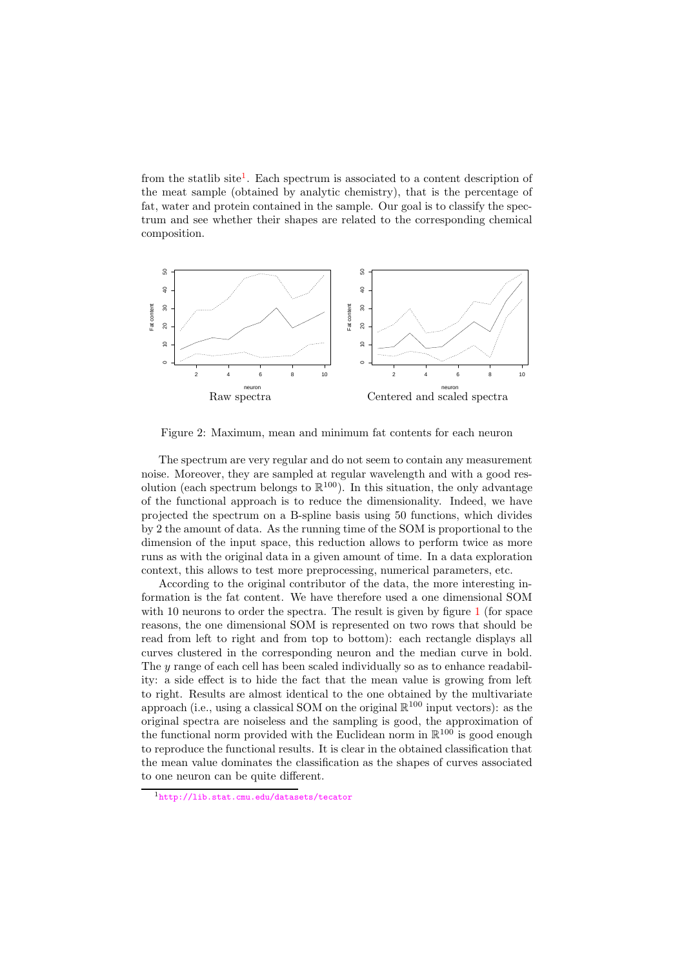from the statlib site<sup>[1](#page-4-0)</sup>. Each spectrum is associated to a content description of the meat sample (obtained by analytic chemistry), that is the percentage of fat, water and protein contained in the sample. Our goal is to classify the spectrum and see whether their shapes are related to the corresponding chemical composition.



Figure 2: Maximum, mean and minimum fat contents for each neuron

<span id="page-4-1"></span>The spectrum are very regular and do not seem to contain any measurement noise. Moreover, they are sampled at regular wavelength and with a good resolution (each spectrum belongs to  $\mathbb{R}^{100}$ ). In this situation, the only advantage of the functional approach is to reduce the dimensionality. Indeed, we have projected the spectrum on a B-spline basis using 50 functions, which divides by 2 the amount of data. As the running time of the SOM is proportional to the dimension of the input space, this reduction allows to perform twice as more runs as with the original data in a given amount of time. In a data exploration context, this allows to test more preprocessing, numerical parameters, etc.

According to the original contributor of the data, the more interesting information is the fat content. We have therefore used a one dimensional SOM with [1](#page-3-0)0 neurons to order the spectra. The result is given by figure 1 (for space reasons, the one dimensional SOM is represented on two rows that should be read from left to right and from top to bottom): each rectangle displays all curves clustered in the corresponding neuron and the median curve in bold. The y range of each cell has been scaled individually so as to enhance readability: a side effect is to hide the fact that the mean value is growing from left to right. Results are almost identical to the one obtained by the multivariate approach (i.e., using a classical SOM on the original  $\mathbb{R}^{100}$  input vectors): as the original spectra are noiseless and the sampling is good, the approximation of the functional norm provided with the Euclidean norm in  $\mathbb{R}^{100}$  is good enough to reproduce the functional results. It is clear in the obtained classification that the mean value dominates the classification as the shapes of curves associated to one neuron can be quite different.

<span id="page-4-0"></span><sup>1</sup><http://lib.stat.cmu.edu/datasets/tecator>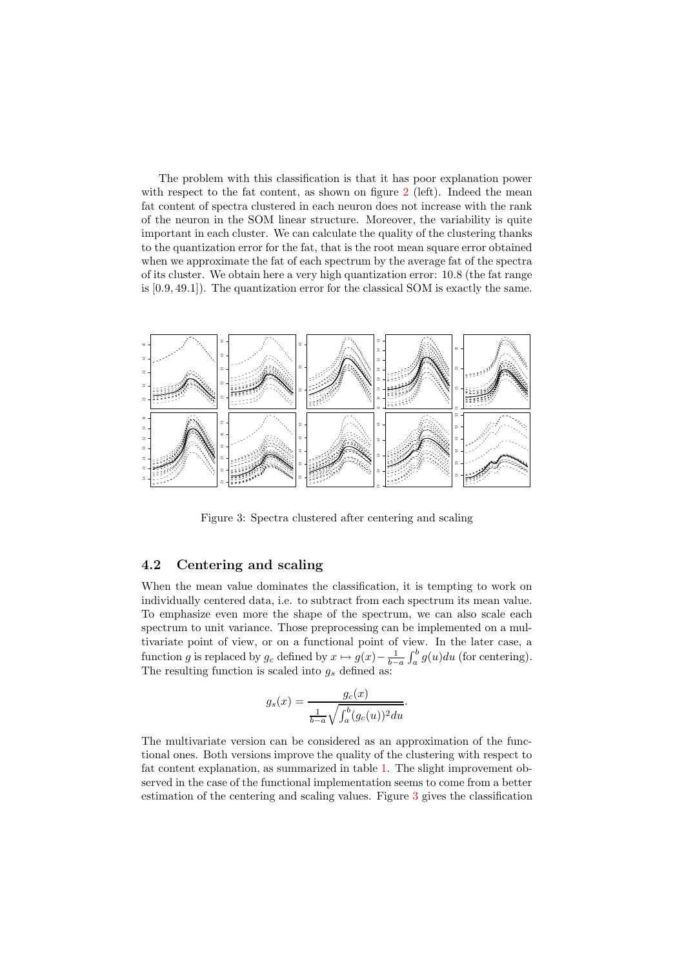The problem with this classification is that it has poor explanation power with respect to the fat content, as shown on figure [2](#page-4-1) (left). Indeed the mean fat content of spectra clustered in each neuron does not increase with the rank of the neuron in the SOM linear structure. Moreover, the variability is quite important in each cluster. We can calculate the quality of the clustering thanks to the quantization error for the fat, that is the root mean square error obtained when we approximate the fat of each spectrum by the average fat of the spectra of its cluster. We obtain here a very high quantization error: 10.8 (the fat range is [0.9, 49.1]). The quantization error for the classical SOM is exactly the same.



<span id="page-5-0"></span>Figure 3: Spectra clustered after centering and scaling

#### 4.2 Centering and scaling

When the mean value dominates the classification, it is tempting to work on individually centered data, i.e. to subtract from each spectrum its mean value. To emphasize even more the shape of the spectrum, we can also scale each spectrum to unit variance. Those preprocessing can be implemented on a multivariate point of view, or on a functional point of view. In the later case, a function g is replaced by  $g_c$  defined by  $x \mapsto g(x) - \frac{1}{b-a} \int_a^b g(u) du$  (for centering). The resulting function is scaled into  $g_s$  defined as:

$$
g_s(x) = \frac{g_c(x)}{\frac{1}{b-a}\sqrt{\int_a^b (g_c(u))^2 du}}.
$$

The multivariate version can be considered as an approximation of the functional ones. Both versions improve the quality of the clustering with respect to fat content explanation, as summarized in table [1.](#page-6-0) The slight improvement observed in the case of the functional implementation seems to come from a better estimation of the centering and scaling values. Figure [3](#page-5-0) gives the classification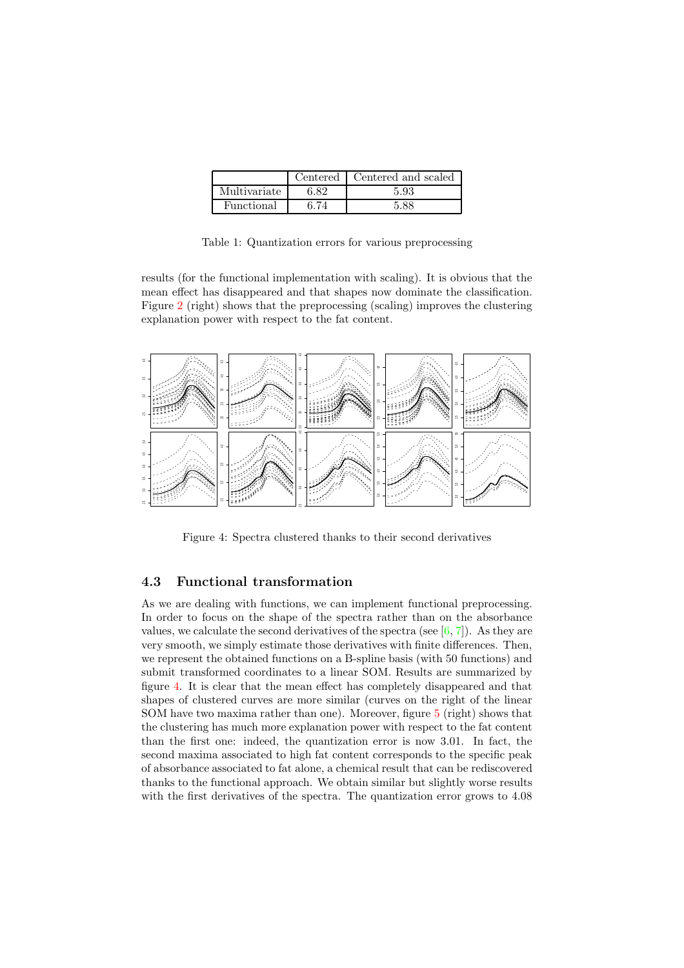|              |      | Centered   Centered and scaled |
|--------------|------|--------------------------------|
| Multivariate | 6.82 | 5.93                           |
| Functional   | 3 74 | 5.88                           |

Table 1: Quantization errors for various preprocessing

<span id="page-6-0"></span>results (for the functional implementation with scaling). It is obvious that the mean effect has disappeared and that shapes now dominate the classification. Figure [2](#page-4-1) (right) shows that the preprocessing (scaling) improves the clustering explanation power with respect to the fat content.



<span id="page-6-1"></span>Figure 4: Spectra clustered thanks to their second derivatives

#### 4.3 Functional transformation

As we are dealing with functions, we can implement functional preprocessing. In order to focus on the shape of the spectra rather than on the absorbance values, we calculate the second derivatives of the spectra (see  $[6, 7]$  $[6, 7]$  $[6, 7]$ ). As they are very smooth, we simply estimate those derivatives with finite differences. Then, we represent the obtained functions on a B-spline basis (with 50 functions) and submit transformed coordinates to a linear SOM. Results are summarized by figure [4.](#page-6-1) It is clear that the mean effect has completely disappeared and that shapes of clustered curves are more similar (curves on the right of the linear SOM have two maxima rather than one). Moreover, figure [5](#page-7-3) (right) shows that the clustering has much more explanation power with respect to the fat content than the first one: indeed, the quantization error is now 3.01. In fact, the second maxima associated to high fat content corresponds to the specific peak of absorbance associated to fat alone, a chemical result that can be rediscovered thanks to the functional approach. We obtain similar but slightly worse results with the first derivatives of the spectra. The quantization error grows to 4.08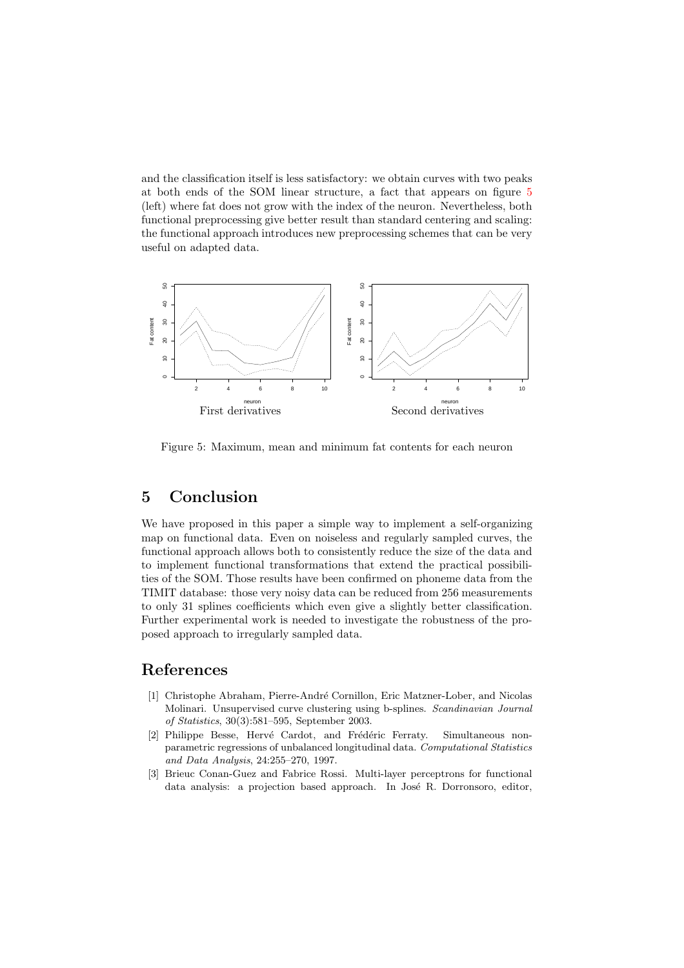and the classification itself is less satisfactory: we obtain curves with two peaks at both ends of the SOM linear structure, a fact that appears on figure [5](#page-7-3) (left) where fat does not grow with the index of the neuron. Nevertheless, both functional preprocessing give better result than standard centering and scaling: the functional approach introduces new preprocessing schemes that can be very useful on adapted data.



<span id="page-7-3"></span>Figure 5: Maximum, mean and minimum fat contents for each neuron

## 5 Conclusion

We have proposed in this paper a simple way to implement a self-organizing map on functional data. Even on noiseless and regularly sampled curves, the functional approach allows both to consistently reduce the size of the data and to implement functional transformations that extend the practical possibilities of the SOM. Those results have been confirmed on phoneme data from the TIMIT database: those very noisy data can be reduced from 256 measurements to only 31 splines coefficients which even give a slightly better classification. Further experimental work is needed to investigate the robustness of the proposed approach to irregularly sampled data.

## <span id="page-7-2"></span>References

- [1] Christophe Abraham, Pierre-Andr´e Cornillon, Eric Matzner-Lober, and Nicolas Molinari. Unsupervised curve clustering using b-splines. Scandinavian Journal of Statistics, 30(3):581–595, September 2003.
- <span id="page-7-0"></span>[2] Philippe Besse, Hervé Cardot, and Frédéric Ferraty. Simultaneous nonparametric regressions of unbalanced longitudinal data. Computational Statistics and Data Analysis, 24:255–270, 1997.
- <span id="page-7-1"></span>[3] Brieuc Conan-Guez and Fabrice Rossi. Multi-layer perceptrons for functional data analysis: a projection based approach. In José R. Dorronsoro, editor,